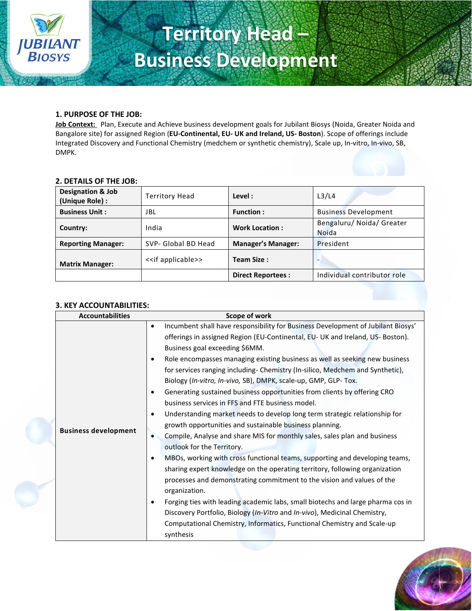

# **Territory Head – Business Development**

## **1. PURPOSE OF THE JOB:**

**Job Context:** Plan, Execute and Achieve business development goals for Jubilant Biosys (Noida, Greater Noida and Bangalore site) for assigned Region (**EU-Continental, EU- UK and Ireland, US- Boston**). Scope of offerings include Integrated Discovery and Functional Chemistry (medchem or synthetic chemistry), Scale up, In-vitro, In-vivo, SB, DMPK.

#### **2. DETAILS OF THE JOB:**

| <b>Designation &amp; Job</b><br>(Unique Role) : | <b>Territory Head</b>         | Level :                   | L <sub>3</sub> /L <sub>4</sub>            |  |
|-------------------------------------------------|-------------------------------|---------------------------|-------------------------------------------|--|
| <b>Business Unit:</b>                           | JBL                           | <b>Function:</b>          | <b>Business Development</b>               |  |
| Country:                                        | India                         | <b>Work Location:</b>     | Bengaluru/ Noida/ Greater<br><b>Noida</b> |  |
| <b>Reporting Manager:</b>                       | SVP- Global BD Head           | <b>Manager's Manager:</b> | President                                 |  |
| <b>Matrix Manager:</b>                          | < <if applicable="">&gt;</if> | Team Size:                | -                                         |  |
|                                                 |                               | <b>Direct Reportees:</b>  | Individual contributor role               |  |

#### **3. KEY ACCOUNTABILITIES:**

| <b>Accountabilities</b>     | Scope of work                                                                                                                                                                                                                                                                                                                                                                                                                                                                                                                                                                                                                                                                                                                                                                                                                                                                                                                                                                                                                                                                                                                                                                                                                                                                                                                                                                                                                   |
|-----------------------------|---------------------------------------------------------------------------------------------------------------------------------------------------------------------------------------------------------------------------------------------------------------------------------------------------------------------------------------------------------------------------------------------------------------------------------------------------------------------------------------------------------------------------------------------------------------------------------------------------------------------------------------------------------------------------------------------------------------------------------------------------------------------------------------------------------------------------------------------------------------------------------------------------------------------------------------------------------------------------------------------------------------------------------------------------------------------------------------------------------------------------------------------------------------------------------------------------------------------------------------------------------------------------------------------------------------------------------------------------------------------------------------------------------------------------------|
| <b>Business development</b> | Incumbent shall have responsibility for Business Development of Jubilant Biosys'<br>$\bullet$<br>offerings in assigned Region (EU-Continental, EU- UK and Ireland, US- Boston).<br>Business goal exceeding \$6MM.<br>Role encompasses managing existing business as well as seeking new business<br>$\bullet$<br>for services ranging including- Chemistry (In-silico, Medchem and Synthetic),<br>Biology (In-vitro, In-vivo, SB), DMPK, scale-up, GMP, GLP- Tox.<br>Generating sustained business opportunities from clients by offering CRO<br>$\bullet$<br>business services in FFS and FTE business model.<br>Understanding market needs to develop long term strategic relationship for<br>$\bullet$<br>growth opportunities and sustainable business planning.<br>Compile, Analyse and share MIS for monthly sales, sales plan and business<br>$\bullet$<br>outlook for the Territory.<br>MBOs, working with cross functional teams, supporting and developing teams,<br>٠<br>sharing expert knowledge on the operating territory, following organization<br>processes and demonstrating commitment to the vision and values of the<br>organization.<br>Forging ties with leading academic labs, small biotechs and large pharma cos in<br>$\bullet$<br>Discovery Portfolio, Biology (In-Vitro and In-vivo), Medicinal Chemistry,<br>Computational Chemistry, Informatics, Functional Chemistry and Scale-up<br>synthesis |

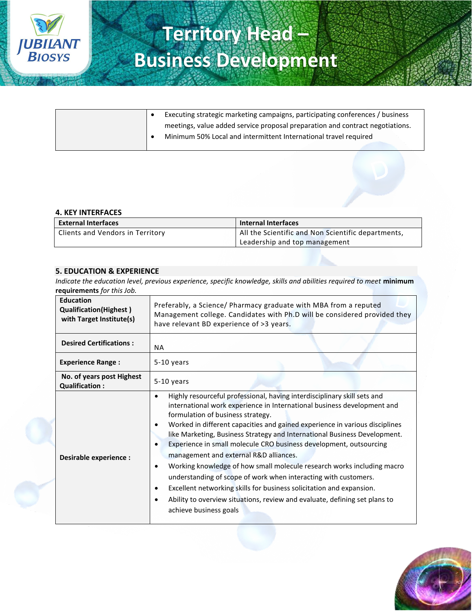

|  | Executing strategic marketing campaigns, participating conferences / business |  |
|--|-------------------------------------------------------------------------------|--|
|  | meetings, value added service proposal preparation and contract negotiations. |  |
|  | Minimum 50% Local and intermittent International travel required              |  |

#### **4. KEY INTERFACES**

| <b>External Interfaces</b>       | <b>Internal Interfaces</b>                         |  |
|----------------------------------|----------------------------------------------------|--|
| Clients and Vendors in Territory | All the Scientific and Non Scientific departments, |  |
|                                  | Leadership and top management                      |  |

#### **5. EDUCATION & EXPERIENCE**

*Indicate the education level, previous experience, specific knowledge, skills and abilities required to meet* **minimum requirements** *for this Job.*

| <b>Education</b><br><b>Qualification(Highest)</b><br>with Target Institute(s) | Preferably, a Science/ Pharmacy graduate with MBA from a reputed<br>Management college. Candidates with Ph.D will be considered provided they<br>have relevant BD experience of >3 years.                                                                                                                                                                                                                                                                                                                                                                                                                                                                                                                                                                                                                                             |  |  |
|-------------------------------------------------------------------------------|---------------------------------------------------------------------------------------------------------------------------------------------------------------------------------------------------------------------------------------------------------------------------------------------------------------------------------------------------------------------------------------------------------------------------------------------------------------------------------------------------------------------------------------------------------------------------------------------------------------------------------------------------------------------------------------------------------------------------------------------------------------------------------------------------------------------------------------|--|--|
| <b>Desired Certifications:</b>                                                | <b>NA</b>                                                                                                                                                                                                                                                                                                                                                                                                                                                                                                                                                                                                                                                                                                                                                                                                                             |  |  |
| <b>Experience Range:</b>                                                      | 5-10 years                                                                                                                                                                                                                                                                                                                                                                                                                                                                                                                                                                                                                                                                                                                                                                                                                            |  |  |
| No. of years post Highest<br><b>Qualification:</b>                            | 5-10 years                                                                                                                                                                                                                                                                                                                                                                                                                                                                                                                                                                                                                                                                                                                                                                                                                            |  |  |
| Desirable experience :                                                        | Highly resourceful professional, having interdisciplinary skill sets and<br>$\bullet$<br>international work experience in International business development and<br>formulation of business strategy.<br>Worked in different capacities and gained experience in various disciplines<br>٠<br>like Marketing, Business Strategy and International Business Development.<br>Experience in small molecule CRO business development, outsourcing<br>management and external R&D alliances.<br>Working knowledge of how small molecule research works including macro<br>$\bullet$<br>understanding of scope of work when interacting with customers.<br>Excellent networking skills for business solicitation and expansion.<br>Ability to overview situations, review and evaluate, defining set plans to<br>٠<br>achieve business goals |  |  |